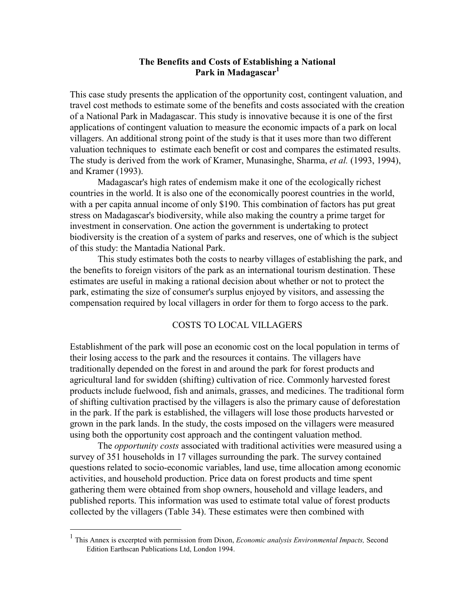## **The Benefits and Costs of Establishing a National** Park in Madagascar<sup>1</sup>

This case study presents the application of the opportunity cost, contingent valuation, and travel cost methods to estimate some of the benefits and costs associated with the creation of a National Park in Madagascar. This study is innovative because it is one of the first applications of contingent valuation to measure the economic impacts of a park on local villagers. An additional strong point of the study is that it uses more than two different valuation techniques to estimate each benefit or cost and compares the estimated results. The study is derived from the work of Kramer, Munasinghe, Sharma, *et al.* (1993, 1994), and Kramer (1993).

Madagascar's high rates of endemism make it one of the ecologically richest countries in the world. It is also one of the economically poorest countries in the world, with a per capita annual income of only \$190. This combination of factors has put great stress on Madagascar's biodiversity, while also making the country a prime target for investment in conservation. One action the government is undertaking to protect biodiversity is the creation of a system of parks and reserves, one of which is the subject of this study: the Mantadia National Park.

This study estimates both the costs to nearby villages of establishing the park, and the benefits to foreign visitors of the park as an international tourism destination. These estimates are useful in making a rational decision about whether or not to protect the park, estimating the size of consumer's surplus enjoyed by visitors, and assessing the compensation required by local villagers in order for them to forgo access to the park.

# COSTS TO LOCAL VILLAGERS

Establishment of the park will pose an economic cost on the local population in terms of their losing access to the park and the resources it contains. The villagers have traditionally depended on the forest in and around the park for forest products and agricultural land for swidden (shifting) cultivation of rice. Commonly harvested forest products include fuelwood, fish and animals, grasses, and medicines. The traditional form of shifting cultivation practised by the villagers is also the primary cause of deforestation in the park. If the park is established, the villagers will lose those products harvested or grown in the park lands. In the study, the costs imposed on the villagers were measured using both the opportunity cost approach and the contingent valuation method.

The *opportunity costs* associated with traditional activities were measured using a survey of 351 households in 17 villages surrounding the park. The survey contained questions related to socio-economic variables, land use, time allocation among economic activities, and household production. Price data on forest products and time spent gathering them were obtained from shop owners, household and village leaders, and published reports. This information was used to estimate total value of forest products collected by the villagers (Table 34). These estimates were then combined with

 $\overline{a}$ 

<sup>1</sup> This Annex is excerpted with permission from Dixon, *Economic analysis Environmental Impacts,* Second Edition Earthscan Publications Ltd, London 1994.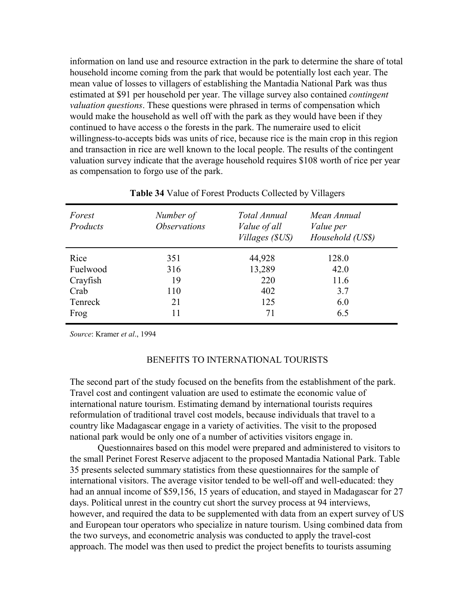information on land use and resource extraction in the park to determine the share of total household income coming from the park that would be potentially lost each year. The mean value of losses to villagers of establishing the Mantadia National Park was thus estimated at \$91 per household per year. The village survey also contained *contingent valuation questions*. These questions were phrased in terms of compensation which would make the household as well off with the park as they would have been if they continued to have access o the forests in the park. The numeraire used to elicit willingness-to-accepts bids was units of rice, because rice is the main crop in this region and transaction in rice are well known to the local people. The results of the contingent valuation survey indicate that the average household requires \$108 worth of rice per year as compensation to forgo use of the park.

| Forest<br>Products | Number of<br><i><b>Observations</b></i> | Total Annual<br><i>Value of all</i><br>Villages (\$US) | Mean Annual<br><i>Value per</i><br>Household (US\$) |
|--------------------|-----------------------------------------|--------------------------------------------------------|-----------------------------------------------------|
| Rice               | 351                                     | 44,928                                                 | 128.0                                               |
| Fuelwood           | 316                                     | 13,289                                                 | 42.0                                                |
| Crayfish           | 19                                      | 220                                                    | 11.6                                                |
| Crab               | 110                                     | 402                                                    | 3.7                                                 |
| Tenreck            | 21                                      | 125                                                    | 6.0                                                 |
| Frog               | 11                                      | 71                                                     | 6.5                                                 |

#### **Table 34** Value of Forest Products Collected by Villagers

*Source*: Kramer *et al*., 1994

## BENEFITS TO INTERNATIONAL TOURISTS

The second part of the study focused on the benefits from the establishment of the park. Travel cost and contingent valuation are used to estimate the economic value of international nature tourism. Estimating demand by international tourists requires reformulation of traditional travel cost models, because individuals that travel to a country like Madagascar engage in a variety of activities. The visit to the proposed national park would be only one of a number of activities visitors engage in.

Questionnaires based on this model were prepared and administered to visitors to the small Perinet Forest Reserve adjacent to the proposed Mantadia National Park. Table 35 presents selected summary statistics from these questionnaires for the sample of international visitors. The average visitor tended to be well-off and well-educated: they had an annual income of \$59,156, 15 years of education, and stayed in Madagascar for 27 days. Political unrest in the country cut short the survey process at 94 interviews, however, and required the data to be supplemented with data from an expert survey of US and European tour operators who specialize in nature tourism. Using combined data from the two surveys, and econometric analysis was conducted to apply the travel-cost approach. The model was then used to predict the project benefits to tourists assuming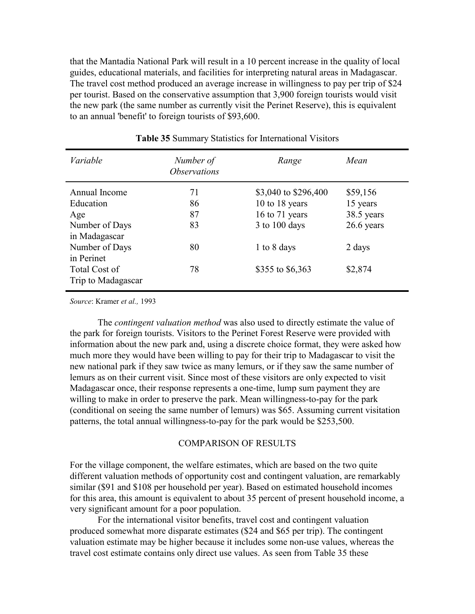that the Mantadia National Park will result in a 10 percent increase in the quality of local guides, educational materials, and facilities for interpreting natural areas in Madagascar. The travel cost method produced an average increase in willingness to pay per trip of \$24 per tourist. Based on the conservative assumption that 3,900 foreign tourists would visit the new park (the same number as currently visit the Perinet Reserve), this is equivalent to an annual 'benefit' to foreign tourists of \$93,600.

| Variable                            | Number of<br><i><b>Observations</b></i> | Range                | Mean       |
|-------------------------------------|-----------------------------------------|----------------------|------------|
| Annual Income                       | 71                                      | \$3,040 to \$296,400 | \$59,156   |
| Education                           | 86                                      | 10 to 18 years       | 15 years   |
| Age                                 | 87                                      | 16 to 71 years       | 38.5 years |
| Number of Days<br>in Madagascar     | 83                                      | $3$ to 100 days      | 26.6 years |
| Number of Days<br>in Perinet        | 80                                      | 1 to 8 days          | 2 days     |
| Total Cost of<br>Trip to Madagascar | 78                                      | \$355 to \$6,363     | \$2,874    |

**Table 35** Summary Statistics for International Visitors

*Source*: Kramer *et al.,* 1993

The *contingent valuation method* was also used to directly estimate the value of the park for foreign tourists. Visitors to the Perinet Forest Reserve were provided with information about the new park and, using a discrete choice format, they were asked how much more they would have been willing to pay for their trip to Madagascar to visit the new national park if they saw twice as many lemurs, or if they saw the same number of lemurs as on their current visit. Since most of these visitors are only expected to visit Madagascar once, their response represents a one-time, lump sum payment they are willing to make in order to preserve the park. Mean willingness-to-pay for the park (conditional on seeing the same number of lemurs) was \$65. Assuming current visitation patterns, the total annual willingness-to-pay for the park would be \$253,500.

### COMPARISON OF RESULTS

For the village component, the welfare estimates, which are based on the two quite different valuation methods of opportunity cost and contingent valuation, are remarkably similar (\$91 and \$108 per household per year). Based on estimated household incomes for this area, this amount is equivalent to about 35 percent of present household income, a very significant amount for a poor population.

For the international visitor benefits, travel cost and contingent valuation produced somewhat more disparate estimates (\$24 and \$65 per trip). The contingent valuation estimate may be higher because it includes some non-use values, whereas the travel cost estimate contains only direct use values. As seen from Table 35 these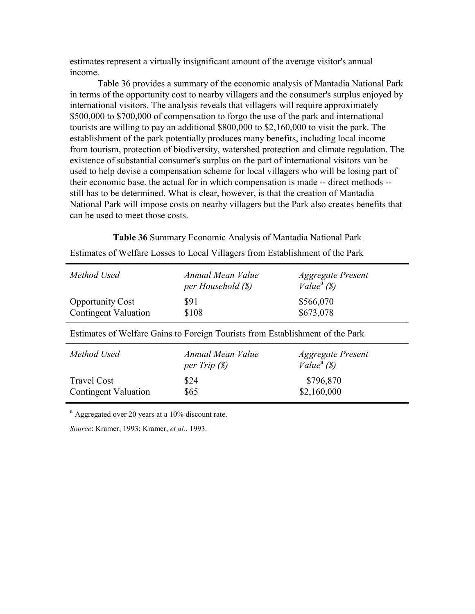estimates represent a virtually insignificant amount of the average visitor's annual income.

Table 36 provides a summary of the economic analysis of Mantadia National Park in terms of the opportunity cost to nearby villagers and the consumer's surplus enjoyed by international visitors. The analysis reveals that villagers will require approximately \$500,000 to \$700,000 of compensation to forgo the use of the park and international tourists are willing to pay an additional \$800,000 to \$2,160,000 to visit the park. The establishment of the park potentially produces many benefits, including local income from tourism, protection of biodiversity, watershed protection and climate regulation. The existence of substantial consumer's surplus on the part of international visitors van be used to help devise a compensation scheme for local villagers who will be losing part of their economic base. the actual for in which compensation is made -- direct methods - still has to be determined. What is clear, however, is that the creation of Mantadia National Park will impose costs on nearby villagers but the Park also creates benefits that can be used to meet those costs.

**Table 36** Summary Economic Analysis of Mantadia National Park

| Method Used                                                                   | Annual Mean Value<br>per Household (\$)       | <b>Aggregate Present</b><br>Value <sup>a</sup> (\$) |  |  |  |
|-------------------------------------------------------------------------------|-----------------------------------------------|-----------------------------------------------------|--|--|--|
| <b>Opportunity Cost</b><br><b>Contingent Valuation</b>                        | \$91<br>\$108                                 | \$566,070<br>\$673,078                              |  |  |  |
| Estimates of Welfare Gains to Foreign Tourists from Establishment of the Park |                                               |                                                     |  |  |  |
| Method Used                                                                   | Annual Mean Value<br>per Trip $(\mathcal{S})$ | <b>Aggregate Present</b><br>Value <sup>a</sup> (\$) |  |  |  |
| <b>Travel Cost</b><br><b>Contingent Valuation</b>                             | \$24<br>\$65                                  | \$796,870<br>\$2,160,000                            |  |  |  |

Estimates of Welfare Losses to Local Villagers from Establishment of the Park

<sup>a</sup> Aggregated over 20 years at a 10% discount rate.

*Source*: Kramer, 1993; Kramer, *et al.*, 1993.